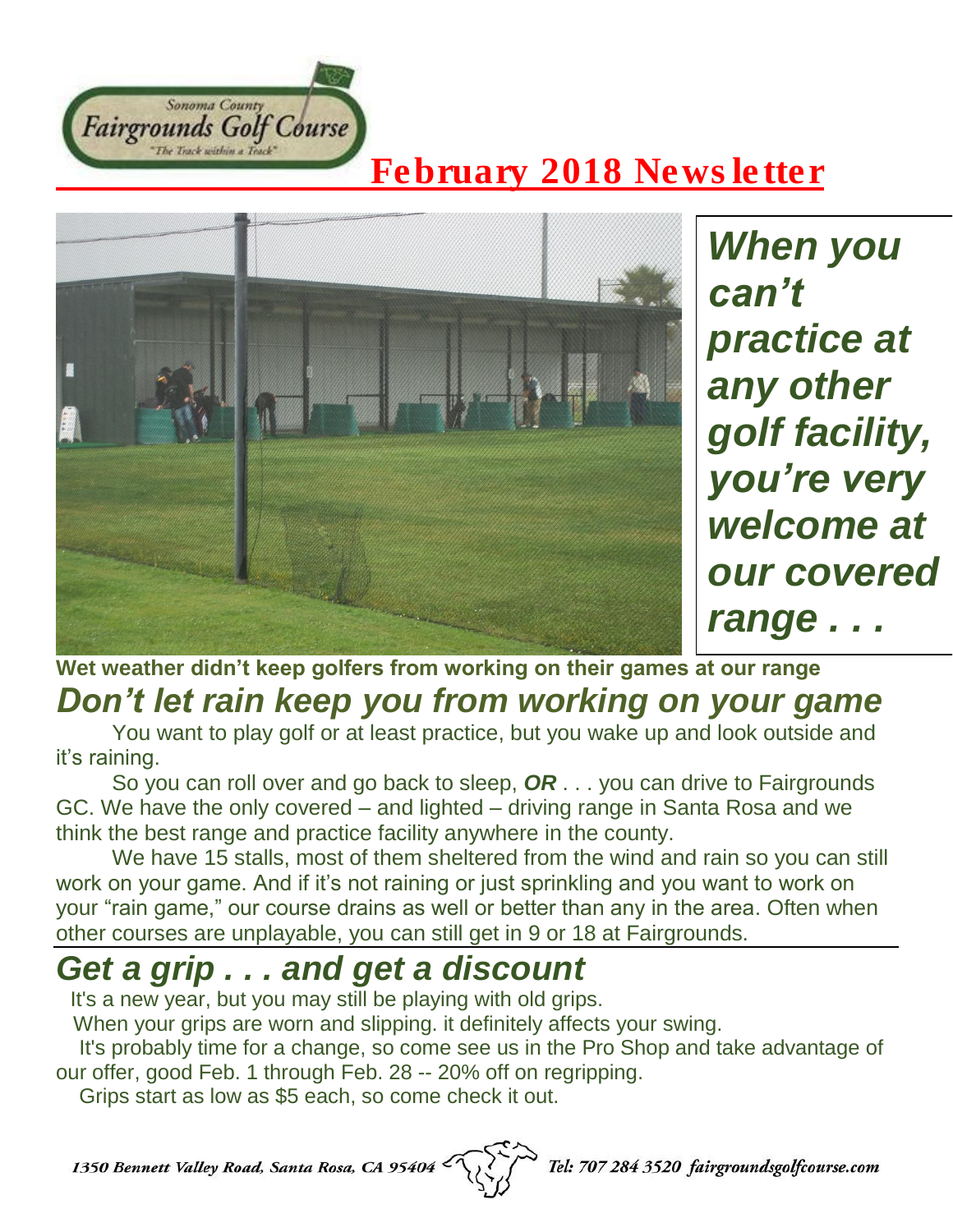

## *February 2018 Newsletter*



*When you can't practice at any other golf facility, you're very welcome at our covered range . . .*

#### **Wet weather didn't keep golfers from working on their games at our range** *Don't let rain keep you from working on your game*

You want to play golf or at least practice, but you wake up and look outside and it's raining.

So you can roll over and go back to sleep, *OR* . . . you can drive to Fairgrounds GC. We have the only covered – and lighted – driving range in Santa Rosa and we think the best range and practice facility anywhere in the county.

We have 15 stalls, most of them sheltered from the wind and rain so you can still work on your game. And if it's not raining or just sprinkling and you want to work on your "rain game," our course drains as well or better than any in the area. Often when other courses are unplayable, you can still get in 9 or 18 at Fairgrounds.

# *Get a grip . . . and get a discount*

It's a new year, but you may still be playing with old grips.

When your grips are worn and slipping. it definitely affects your swing.

It's probably time for a change, so come see us in the Pro Shop and take advantage of our offer, good Feb. 1 through Feb. 28 -- 20% off on regripping.

Grips start as low as \$5 each, so come check it out.

1350 Bennett Valley Road, Santa Rosa, CA 95404

Tel: 707 284 3520 fairgroundsgolfcourse.com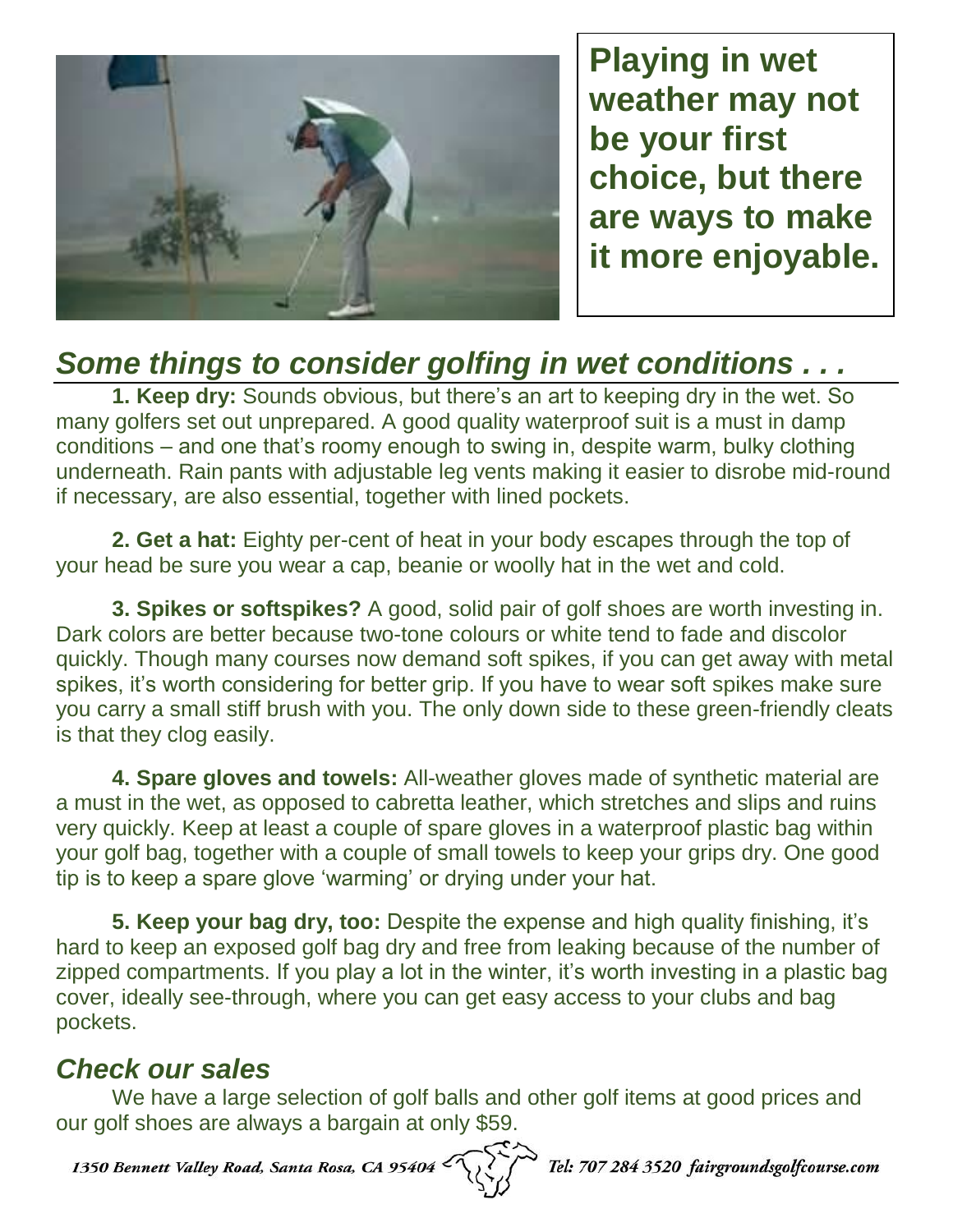

**Playing in wet weather may not be your first choice, but there are ways to make it more enjoyable.**

### *Some things to consider golfing in wet conditions . . .*

**1. Keep dry:** Sounds obvious, but there's an art to keeping dry in the wet. So many golfers set out unprepared. A good quality waterproof suit is a must in damp conditions – and one that's roomy enough to swing in, despite warm, bulky clothing underneath. Rain pants with adjustable leg vents making it easier to disrobe mid-round if necessary, are also essential, together with lined pockets.

**2. Get a hat:** Eighty per-cent of heat in your body escapes through the top of your head be sure you wear a cap, beanie or woolly hat in the wet and cold.

**3. Spikes or softspikes?** A good, solid pair of golf shoes are worth investing in. Dark colors are better because two-tone colours or white tend to fade and discolor quickly. Though many courses now demand soft spikes, if you can get away with metal spikes, it's worth considering for better grip. If you have to wear soft spikes make sure you carry a small stiff brush with you. The only down side to these green-friendly cleats is that they clog easily.

**4. Spare gloves and towels:** All-weather gloves made of synthetic material are a must in the wet, as opposed to cabretta leather, which stretches and slips and ruins very quickly. Keep at least a couple of spare gloves in a waterproof plastic bag within your golf bag, together with a couple of small towels to keep your grips dry. One good tip is to keep a spare glove 'warming' or drying under your hat.

**5. Keep your bag dry, too:** Despite the expense and high quality finishing, it's hard to keep an exposed golf bag dry and free from leaking because of the number of zipped compartments. If you play a lot in the winter, it's worth investing in a plastic bag cover, ideally see-through, where you can get easy access to your clubs and bag pockets.

#### *Check our sales*

We have a large selection of golf balls and other golf items at good prices and our golf shoes are always a bargain at only \$59.

1350 Bennett Valley Road, Santa Rosa, CA 95404

Tel: 707 284 3520 fairgroundsgolfcourse.com